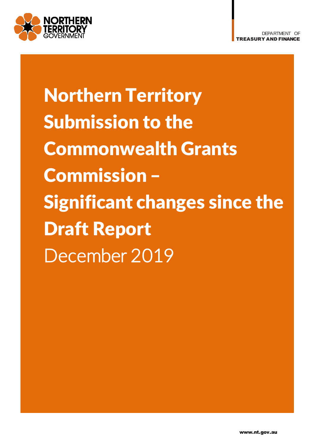

Northern Territory Submission to the Commonwealth Grants Commission – Significant changes since the Draft Report December 2019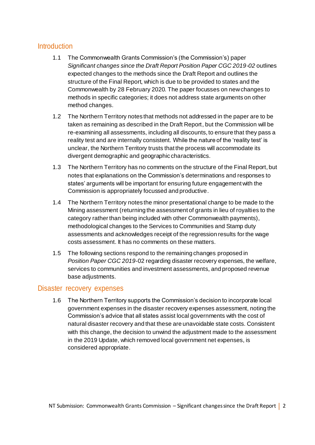# **Introduction**

- 1.1 The Commonwealth Grants Commission's (the Commission's) paper *Significant changes since the Draft Report Position Paper CGC 2019-02* outlines expected changes to the methods since the Draft Report and outlines the structure of the Final Report, which is due to be provided to states and the Commonwealth by 28 February 2020. The paper focusses on new changes to methods in specific categories; it does not address state arguments on other method changes.
- 1.2 The Northern Territory notes that methods not addressed in the paper are to be taken as remaining as described in the Draft Report, but the Commission will be re-examining all assessments, including all discounts, to ensure that they pass a reality test and are internally consistent. While the nature of the 'reality test' is unclear, the Northern Territory trusts that the process will accommodate its divergent demographic and geographic characteristics.
- 1.3 The Northern Territory has no comments on the structure of the Final Report, but notes that explanations on the Commission's determinations and responses to states' arguments will be important for ensuring future engagement with the Commission is appropriately focussed and productive.
- 1.4 The Northern Territory notes the minor presentational change to be made to the Mining assessment (returning the assessment of grants in lieu of royalties to the category rather than being included with other Commonwealth payments), methodological changes to the Services to Communities and Stamp duty assessments and acknowledges receipt of the regression results for the wage costs assessment. It has no comments on these matters.
- 1.5 The following sections respond to the remaining changes proposed in *Position Paper CGC 2019-*02 regarding disaster recovery expenses, the welfare, services to communities and investment assessments, and proposed revenue base adjustments.

## Disaster recovery expenses

1.6 The Northern Territory supports the Commission's decision to incorporate local government expenses in the disaster recovery expenses assessment, noting the Commission's advice that all states assist local governments with the cost of natural disaster recovery and that these are unavoidable state costs. Consistent with this change, the decision to unwind the adjustment made to the assessment in the 2019 Update, which removed local government net expenses, is considered appropriate.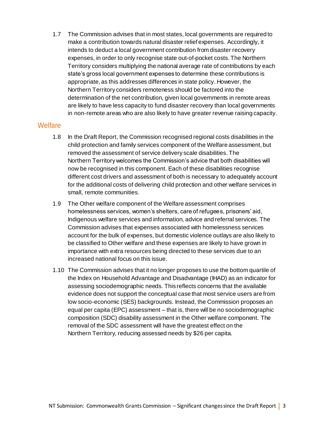1.7 The Commission advises that in most states, local governments are required to make a contribution towards natural disaster relief expenses. Accordingly, it intends to deduct a local government contribution from disaster recovery expenses, in order to only recognise state out-of-pocket costs. The Northern Territory considers multiplying the national average rate of contributions by each state's gross local government expenses to determine these contributions is appropriate, as this addresses differences in state policy. However, the Northern Territory considers remoteness should be factored into the determination of the net contribution, given local governments in remote areas are likely to have less capacity to fund disaster recovery than local governments in non-remote areas who are also likely to have greater revenue raising capacity.

## **Welfare**

- 1.8 In the Draft Report, the Commission recognised regional costs disabilities in the child protection and family services component of the Welfare assessment, but removed the assessment of service delivery scale disabilities.The Northern Territory welcomes the Commission's advice that both disabilities will now be recognised in this component. Each of these disabilities recognise different cost drivers and assessment of both is necessary to adequately account for the additional costs of delivering child protection and other welfare services in small, remote communities.
- 1.9 The Other welfare component of the Welfare assessment comprises homelessness services, women's shelters, care of refugees, prisoners' aid, Indigenous welfare services and information, advice and referral services. The Commission advises that expenses associated with homelessness services account for the bulk of expenses, but domestic violence outlays are also likely to be classified to Other welfare and these expenses are likely to have grown in importance with extra resources being directed to these services due to an increased national focus on this issue.
- 1.10 The Commission advises that it no longer proposes to use the bottom quartile of the Index on Household Advantage and Disadvantage (IHAD) as an indicator for assessing sociodemographic needs. This reflects concerns that the available evidence does not support the conceptual case that most service users are from low socio-economic (SES) backgrounds. Instead, the Commission proposes an equal per capita (EPC) assessment – that is, there will be no sociodemographic composition (SDC) disability assessment in the Other welfare component. The removal of the SDC assessment will have the greatest effect on the Northern Territory, reducing assessed needs by \$26 per capita.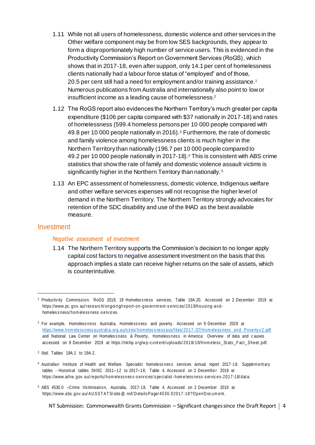- 1.11 While not all users of homelessness, domestic violence and other services in the Other welfare component may be from low SES backgrounds, they appear to form a disproportionately high number of service users. This is evidenced in the Productivity Commission's Report on Government Services (RoGS), which shows that in 2017-18, even after support, only 14.1 per cent of homelessness clients nationally had a labour force status of "employed" and of those, 20.5 per cent still had a need for employment and/or training assistance.<sup>1</sup> Numerous publications from Australia and internationally also point to low or insufficient income as a leading cause of homelessness.<sup>2</sup>
- 1.12 The RoGS report also evidences the Northern Territory's much greater per capita expenditure (\$106 per capita compared with \$37 nationally in 2017-18) and rates of homelessness (599.4 homeless persons per 10 000 people compared with 49.8 per 10 000 people nationally in 2016).<sup>3</sup> Furthermore, the rate of domestic and family violence among homelessness clients is much higher in the Northern Territory than nationally (196.7 per 10 000 people compared to 49.2 per 10 000 people nationally in 2017-18).<sup>4</sup> This is consistent with ABS crime statistics that show the rate of family and domestic violence assault victims is significantly higher in the Northern Territory than nationally.<sup>5</sup>
- 1.13 An EPC assessment of homelessness, domestic violence, Indigenous welfare and other welfare services expenses will not recognise the higher level of demand in the Northern Territory. The Northern Territory strongly advocates for retention of the SDC disability and use of the IHAD as the best available measure.

#### Investment

1

#### *Negative assessment of investment*

1.14 The Northern Territory supports the Commission's decision to no longer apply capital cost factors to negative assessment investment on the basis that this approach implies a state can receive higher returns on the sale of assets, which is counterintuitive.

- <sup>4</sup> Australian Institute of Health and Welfare. Specialist homelessness services annual report 2017-18. Supplementary tables - Historical tables SHSC 2011-12 to 2017-18, Table 4. Accessed on 2 December 2019 at https://www.aihw. gov. au/ reports/ hom eless nes s -s erv ic es/ s pecialist -hom eless ness -s ervic es-2017-18/ dat a.
- <sup>5</sup> ABS 4530.0 –Crime Victimisation, Australia, 2017-18. Table 4. Accessed on 2 December 2019 at https://www.abs. gov.au/ AU SST AT S/ abs @. nsf/ D etails Page/ 4530. 02017-18?OpenD oc um ent.

NT Submission: Commonwealth Grants Commission – Significant changes since the Draft Report | 4

<sup>&</sup>lt;sup>1</sup> Productivity Commission. RoGS 2019, 19 Homeles sness services, Table 19A.20. Accessed on 2 December 2019 at https://www.pc. gov. au/ res earc h/ ongoi ng/report-o n-gov ernm ent -s ervic es/ 2019/housing -andhomeles s ness/ hom eless ness -s erv ic es.

<sup>&</sup>lt;sup>2</sup> For example, Homelessness Australia, Homelessness and poverty. Accessed on 9 December 2019 at https://www.hom eless ness australia. org. au/s it es/ hom eles s ness aus/files/2017 - 07/ H om eless ness and Poverty v 2. pdf and National Law Center on Homeles sness & Poverty, Homeles sness in America: Overview of data and causes accessed on 9 December 2019 at https://nlchp.org/wp-content/uploads/2018/10/Homeless\_Stats\_Fact\_Sheet.pdf.

<sup>3</sup> Ibid. Tables 19A.1 to 19A.2.